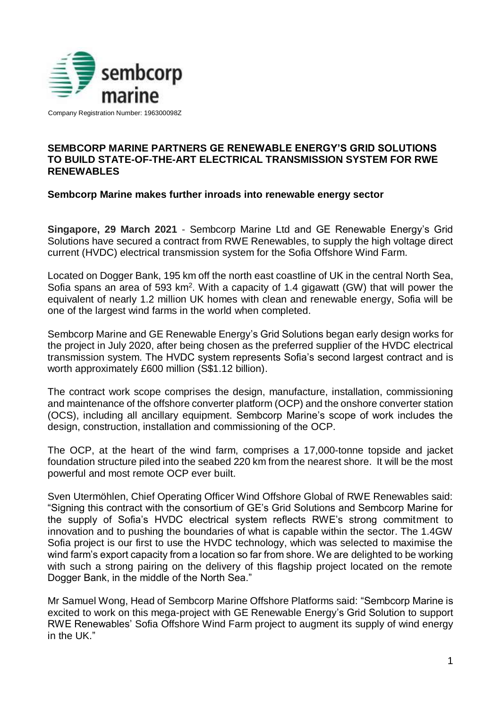

Company Registration Number: 196300098Z

# **SEMBCORP MARINE PARTNERS GE RENEWABLE ENERGY'S GRID SOLUTIONS TO BUILD STATE-OF-THE-ART ELECTRICAL TRANSMISSION SYSTEM FOR RWE RENEWABLES**

# **Sembcorp Marine makes further inroads into renewable energy sector**

**Singapore, 29 March 2021** - Sembcorp Marine Ltd and GE Renewable Energy's Grid Solutions have secured a contract from RWE Renewables, to supply the high voltage direct current (HVDC) electrical transmission system for the Sofia Offshore Wind Farm.

Located on Dogger Bank, 195 km off the north east coastline of UK in the central North Sea, Sofia spans an area of 593 km<sup>2</sup>. With a capacity of 1.4 gigawatt (GW) that will power the equivalent of nearly 1.2 million UK homes with clean and renewable energy, Sofia will be one of the largest wind farms in the world when completed.

Sembcorp Marine and GE Renewable Energy's Grid Solutions began early design works for the project in July 2020, after being chosen as the preferred supplier of the HVDC electrical transmission system. The HVDC system represents Sofia's second largest contract and is worth approximately £600 million (S\$1.12 billion).

The contract work scope comprises the design, manufacture, installation, commissioning and maintenance of the offshore converter platform (OCP) and the onshore converter station (OCS), including all ancillary equipment. Sembcorp Marine's scope of work includes the design, construction, installation and commissioning of the OCP.

The OCP, at the heart of the wind farm, comprises a 17,000-tonne topside and jacket foundation structure piled into the seabed 220 km from the nearest shore. It will be the most powerful and most remote OCP ever built.

Sven Utermöhlen, Chief Operating Officer Wind Offshore Global of RWE Renewables said: "Signing this contract with the consortium of GE's Grid Solutions and Sembcorp Marine for the supply of Sofia's HVDC electrical system reflects RWE's strong commitment to innovation and to pushing the boundaries of what is capable within the sector. The 1.4GW Sofia project is our first to use the HVDC technology, which was selected to maximise the wind farm's export capacity from a location so far from shore. We are delighted to be working with such a strong pairing on the delivery of this flagship project located on the remote Dogger Bank, in the middle of the North Sea."

Mr Samuel Wong, Head of Sembcorp Marine Offshore Platforms said: "Sembcorp Marine is excited to work on this mega-project with GE Renewable Energy's Grid Solution to support RWE Renewables' Sofia Offshore Wind Farm project to augment its supply of wind energy in the UK."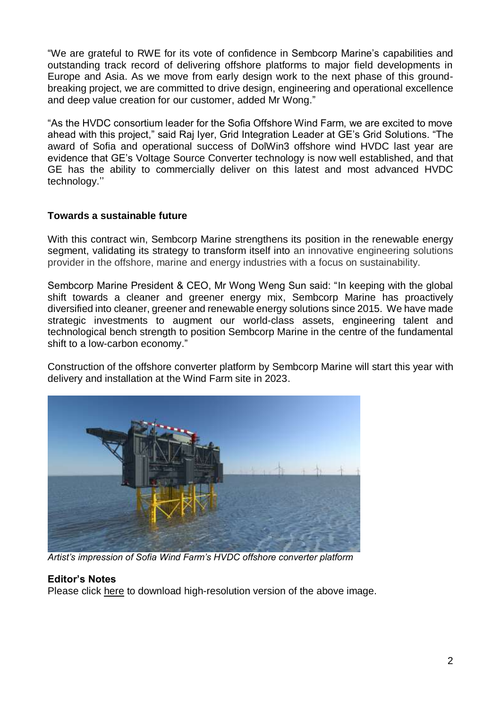"We are grateful to RWE for its vote of confidence in Sembcorp Marine's capabilities and outstanding track record of delivering offshore platforms to major field developments in Europe and Asia. As we move from early design work to the next phase of this groundbreaking project, we are committed to drive design, engineering and operational excellence and deep value creation for our customer, added Mr Wong."

"As the HVDC consortium leader for the Sofia Offshore Wind Farm, we are excited to move ahead with this project," said Raj Iyer, Grid Integration Leader at GE's Grid Solutions. "The award of Sofia and operational success of [DolWin3](https://www.gegridsolutions.com/press/gepress/ge_implements_successful_upgrades_on_the_offshore_converter_platform_dolwin_gamma_in_north_sea.htm) offshore wind HVDC last year are evidence that GE's [Voltage Source Converter technology](https://www.gegridsolutions.com/systems_services/catalog/hvdc/files/vsc-scheme-r002.pdf) is now well established, and that GE has the ability to commercially deliver on this latest and most advanced HVDC technology.''

# **Towards a sustainable future**

With this contract win, Sembcorp Marine strengthens its position in the renewable energy segment, validating its strategy to transform itself into an innovative engineering solutions provider in the offshore, marine and energy industries with a focus on sustainability.

Sembcorp Marine President & CEO, Mr Wong Weng Sun said: "In keeping with the global shift towards a cleaner and greener energy mix, Sembcorp Marine has proactively diversified into cleaner, greener and renewable energy solutions since 2015. We have made strategic investments to augment our world-class assets, engineering talent and technological bench strength to position Sembcorp Marine in the centre of the fundamental shift to a low-carbon economy."

Construction of the offshore converter platform by Sembcorp Marine will start this year with delivery and installation at the Wind Farm site in 2023.



*Artist's impression of Sofia Wind Farm's HVDC offshore converter platform*

#### **Editor's Notes**

Please click [here](https://drive.google.com/drive/folders/1RVx-e7OyqrgdCK5XUsRZeD578EQpA4bl?usp=sharing) to download high-resolution version of the above image.